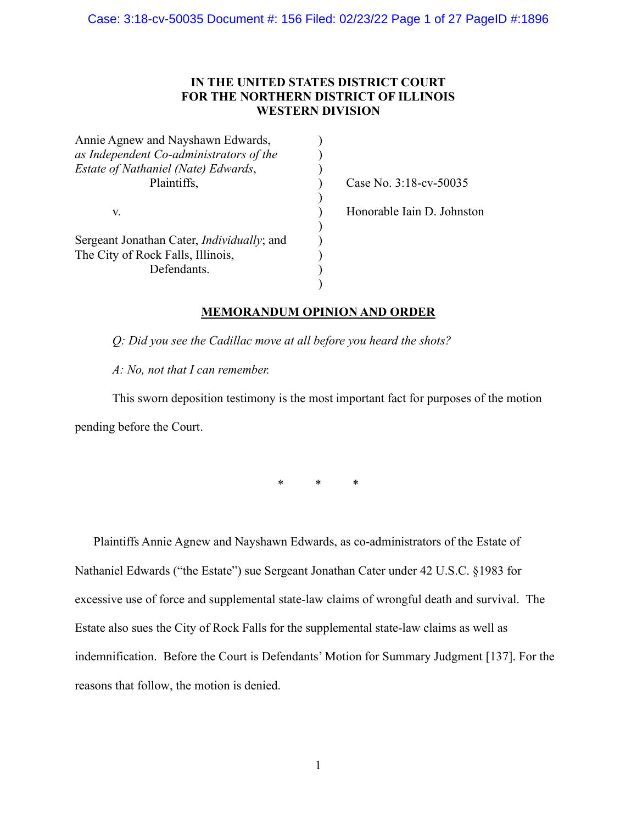# **IN THE UNITED STATES DISTRICT COURT FOR THE NORTHERN DISTRICT OF ILLINOIS WESTERN DIVISION**

| Case No. 3:18-cv-50035     |
|----------------------------|
|                            |
| Honorable Iain D. Johnston |
|                            |
|                            |
|                            |
|                            |
|                            |
|                            |

### **MEMORANDUM OPINION AND ORDER**

*Q: Did you see the Cadillac move at all before you heard the shots?*

*A: No, not that I can remember.*

This sworn deposition testimony is the most important fact for purposes of the motion pending before the Court.

\* \* \*

Plaintiffs Annie Agnew and Nayshawn Edwards, as co-administrators of the Estate of Nathaniel Edwards ("the Estate") sue Sergeant Jonathan Cater under 42 U.S.C. §1983 for excessive use of force and supplemental state-law claims of wrongful death and survival. The Estate also sues the City of Rock Falls for the supplemental state-law claims as well as indemnification. Before the Court is Defendants' Motion for Summary Judgment [137]. For the reasons that follow, the motion is denied.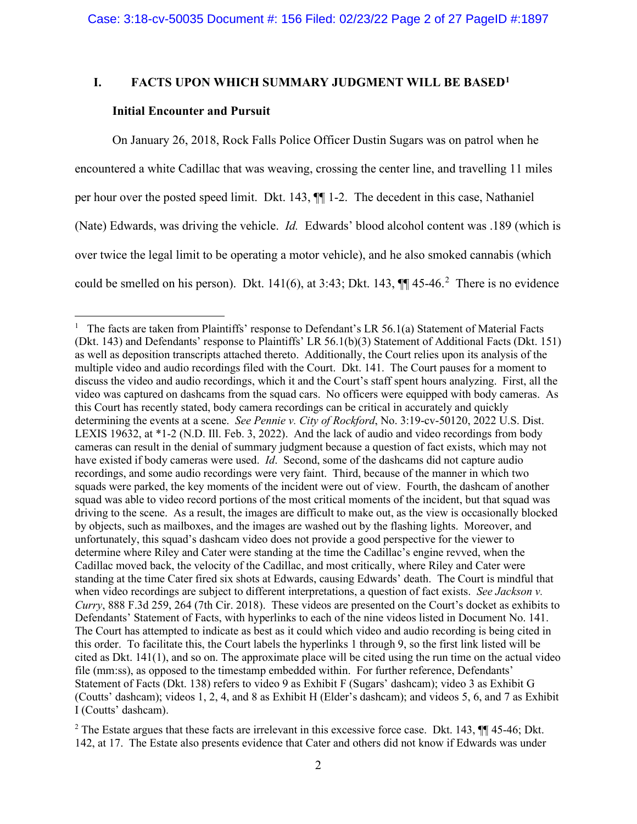## **I. FACTS UPON WHICH SUMMARY JUDGMENT WILL BE BASED1**

#### **Initial Encounter and Pursuit**

On January 26, 2018, Rock Falls Police Officer Dustin Sugars was on patrol when he encountered a white Cadillac that was weaving, crossing the center line, and travelling 11 miles per hour over the posted speed limit. Dkt. 143, ¶¶ 1-2. The decedent in this case, Nathaniel (Nate) Edwards, was driving the vehicle. *Id.* Edwards' blood alcohol content was .189 (which is over twice the legal limit to be operating a motor vehicle), and he also smoked cannabis (which could be smelled on his person). Dkt.  $141(6)$ , at 3:43; Dkt. 143,  $\P\P$  45-46.<sup>2</sup> There is no evidence

<sup>&</sup>lt;sup>1</sup> The facts are taken from Plaintiffs' response to Defendant's LR 56.1(a) Statement of Material Facts (Dkt. 143) and Defendants' response to Plaintiffs' LR 56.1(b)(3) Statement of Additional Facts (Dkt. 151) as well as deposition transcripts attached thereto. Additionally, the Court relies upon its analysis of the multiple video and audio recordings filed with the Court. Dkt. 141. The Court pauses for a moment to discuss the video and audio recordings, which it and the Court's staff spent hours analyzing. First, all the video was captured on dashcams from the squad cars. No officers were equipped with body cameras. As this Court has recently stated, body camera recordings can be critical in accurately and quickly determining the events at a scene. *See Pennie v. City of Rockford*, No. 3:19-cv-50120, 2022 U.S. Dist. LEXIS 19632, at \*1-2 (N.D. Ill. Feb. 3, 2022). And the lack of audio and video recordings from body cameras can result in the denial of summary judgment because a question of fact exists, which may not have existed if body cameras were used. *Id*. Second, some of the dashcams did not capture audio recordings, and some audio recordings were very faint. Third, because of the manner in which two squads were parked, the key moments of the incident were out of view. Fourth, the dashcam of another squad was able to video record portions of the most critical moments of the incident, but that squad was driving to the scene. As a result, the images are difficult to make out, as the view is occasionally blocked by objects, such as mailboxes, and the images are washed out by the flashing lights. Moreover, and unfortunately, this squad's dashcam video does not provide a good perspective for the viewer to determine where Riley and Cater were standing at the time the Cadillac's engine revved, when the Cadillac moved back, the velocity of the Cadillac, and most critically, where Riley and Cater were standing at the time Cater fired six shots at Edwards, causing Edwards' death. The Court is mindful that when video recordings are subject to different interpretations, a question of fact exists. *See Jackson v. Curry*, 888 F.3d 259, 264 (7th Cir. 2018). These videos are presented on the Court's docket as exhibits to Defendants' Statement of Facts, with hyperlinks to each of the nine videos listed in Document No. 141. The Court has attempted to indicate as best as it could which video and audio recording is being cited in this order. To facilitate this, the Court labels the hyperlinks 1 through 9, so the first link listed will be cited as Dkt. 141(1), and so on. The approximate place will be cited using the run time on the actual video file (mm:ss), as opposed to the timestamp embedded within. For further reference, Defendants' Statement of Facts (Dkt. 138) refers to video 9 as Exhibit F (Sugars' dashcam); video 3 as Exhibit G (Coutts' dashcam); videos 1, 2, 4, and 8 as Exhibit H (Elder's dashcam); and videos 5, 6, and 7 as Exhibit I (Coutts' dashcam).

<sup>&</sup>lt;sup>2</sup> The Estate argues that these facts are irrelevant in this excessive force case. Dkt. 143, ¶ 45-46; Dkt. 142, at 17. The Estate also presents evidence that Cater and others did not know if Edwards was under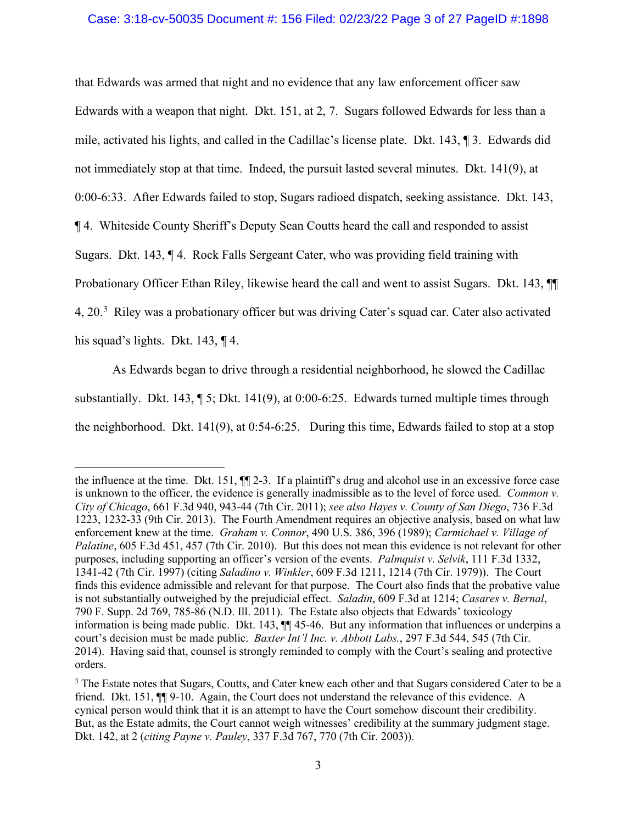#### Case: 3:18-cv-50035 Document #: 156 Filed: 02/23/22 Page 3 of 27 PageID #:1898

that Edwards was armed that night and no evidence that any law enforcement officer saw Edwards with a weapon that night. Dkt. 151, at 2, 7. Sugars followed Edwards for less than a mile, activated his lights, and called in the Cadillac's license plate. Dkt. 143, ¶ 3. Edwards did not immediately stop at that time. Indeed, the pursuit lasted several minutes. Dkt. 141(9), at 0:00-6:33. After Edwards failed to stop, Sugars radioed dispatch, seeking assistance. Dkt. 143, ¶ 4. Whiteside County Sheriff's Deputy Sean Coutts heard the call and responded to assist Sugars. Dkt. 143, ¶ 4. Rock Falls Sergeant Cater, who was providing field training with Probationary Officer Ethan Riley, likewise heard the call and went to assist Sugars. Dkt. 143, ¶¶ 4, 20.<sup>3</sup> Riley was a probationary officer but was driving Cater's squad car. Cater also activated his squad's lights. Dkt. 143, 14.

As Edwards began to drive through a residential neighborhood, he slowed the Cadillac substantially. Dkt. 143, ¶ 5; Dkt. 141(9), at 0:00-6:25. Edwards turned multiple times through the neighborhood. Dkt. 141(9), at 0:54-6:25. During this time, Edwards failed to stop at a stop

the influence at the time. Dkt. 151, ¶¶ 2-3. If a plaintiff's drug and alcohol use in an excessive force case is unknown to the officer, the evidence is generally inadmissible as to the level of force used. *Common v. City of Chicago*, 661 F.3d 940, 943-44 (7th Cir. 2011); *see also Hayes v. County of San Diego*, 736 F.3d 1223, 1232-33 (9th Cir. 2013). The Fourth Amendment requires an objective analysis, based on what law enforcement knew at the time. *Graham v. Connor*, 490 U.S. 386, 396 (1989); *Carmichael v. Village of Palatine*, 605 F.3d 451, 457 (7th Cir. 2010). But this does not mean this evidence is not relevant for other purposes, including supporting an officer's version of the events. *Palmquist v. Selvik*, 111 F.3d 1332, 1341-42 (7th Cir. 1997) (citing *Saladino v. Winkler*, 609 F.3d 1211, 1214 (7th Cir. 1979)). The Court finds this evidence admissible and relevant for that purpose. The Court also finds that the probative value is not substantially outweighed by the prejudicial effect. *Saladin*, 609 F.3d at 1214; *Casares v. Bernal*, 790 F. Supp. 2d 769, 785-86 (N.D. Ill. 2011). The Estate also objects that Edwards' toxicology information is being made public. Dkt. 143, ¶¶ 45-46. But any information that influences or underpins a court's decision must be made public. *Baxter Int'l Inc. v. Abbott Labs.*, 297 F.3d 544, 545 (7th Cir. 2014). Having said that, counsel is strongly reminded to comply with the Court's sealing and protective orders.

<sup>&</sup>lt;sup>3</sup> The Estate notes that Sugars, Coutts, and Cater knew each other and that Sugars considered Cater to be a friend. Dkt. 151, ¶¶ 9-10. Again, the Court does not understand the relevance of this evidence. A cynical person would think that it is an attempt to have the Court somehow discount their credibility. But, as the Estate admits, the Court cannot weigh witnesses' credibility at the summary judgment stage. Dkt. 142, at 2 (*citing Payne v. Pauley*, 337 F.3d 767, 770 (7th Cir. 2003)).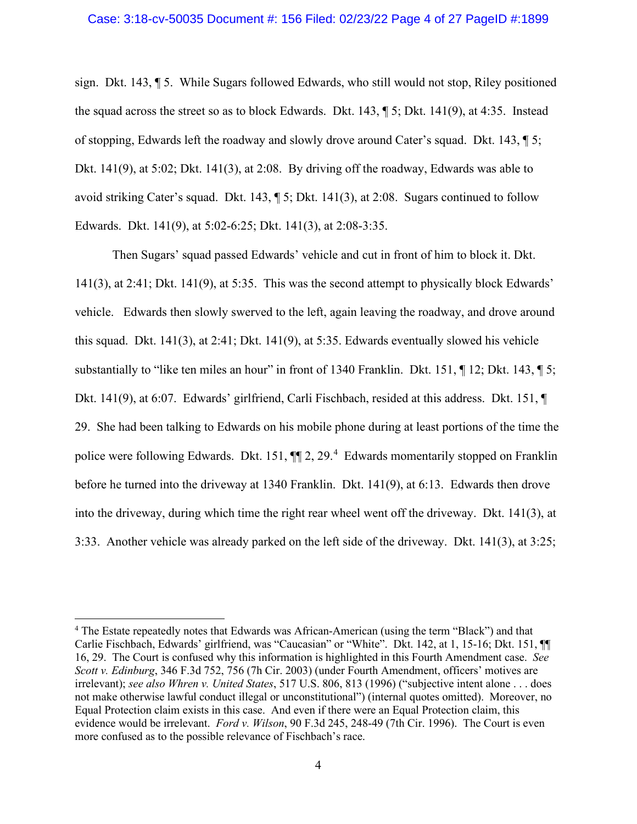sign. Dkt. 143, ¶ 5. While Sugars followed Edwards, who still would not stop, Riley positioned the squad across the street so as to block Edwards. Dkt. 143, ¶ 5; Dkt. 141(9), at 4:35. Instead of stopping, Edwards left the roadway and slowly drove around Cater's squad. Dkt. 143, ¶ 5; Dkt. 141(9), at 5:02; Dkt. 141(3), at 2:08. By driving off the roadway, Edwards was able to avoid striking Cater's squad. Dkt. 143, ¶ 5; Dkt. 141(3), at 2:08. Sugars continued to follow Edwards. Dkt. 141(9), at 5:02-6:25; Dkt. 141(3), at 2:08-3:35.

Then Sugars' squad passed Edwards' vehicle and cut in front of him to block it. Dkt. 141(3), at 2:41; Dkt. 141(9), at 5:35. This was the second attempt to physically block Edwards' vehicle. Edwards then slowly swerved to the left, again leaving the roadway, and drove around this squad. Dkt. 141(3), at 2:41; Dkt. 141(9), at 5:35. Edwards eventually slowed his vehicle substantially to "like ten miles an hour" in front of 1340 Franklin. Dkt. 151, ¶ 12; Dkt. 143, ¶ 5; Dkt. 141(9), at 6:07. Edwards' girlfriend, Carli Fischbach, resided at this address. Dkt. 151, ¶ 29. She had been talking to Edwards on his mobile phone during at least portions of the time the police were following Edwards. Dkt. 151,  $\P$  2, 29.<sup>4</sup> Edwards momentarily stopped on Franklin before he turned into the driveway at 1340 Franklin. Dkt. 141(9), at 6:13. Edwards then drove into the driveway, during which time the right rear wheel went off the driveway. Dkt. 141(3), at 3:33. Another vehicle was already parked on the left side of the driveway. Dkt. 141(3), at 3:25;

<sup>4</sup> The Estate repeatedly notes that Edwards was African-American (using the term "Black") and that Carlie Fischbach, Edwards' girlfriend, was "Caucasian" or "White". Dkt. 142, at 1, 15-16; Dkt. 151, ¶¶ 16, 29. The Court is confused why this information is highlighted in this Fourth Amendment case. *See Scott v. Edinburg*, 346 F.3d 752, 756 (7h Cir. 2003) (under Fourth Amendment, officers' motives are irrelevant); *see also Whren v. United States*, 517 U.S. 806, 813 (1996) ("subjective intent alone . . . does not make otherwise lawful conduct illegal or unconstitutional") (internal quotes omitted). Moreover, no Equal Protection claim exists in this case. And even if there were an Equal Protection claim, this evidence would be irrelevant. *Ford v. Wilson*, 90 F.3d 245, 248-49 (7th Cir. 1996). The Court is even more confused as to the possible relevance of Fischbach's race.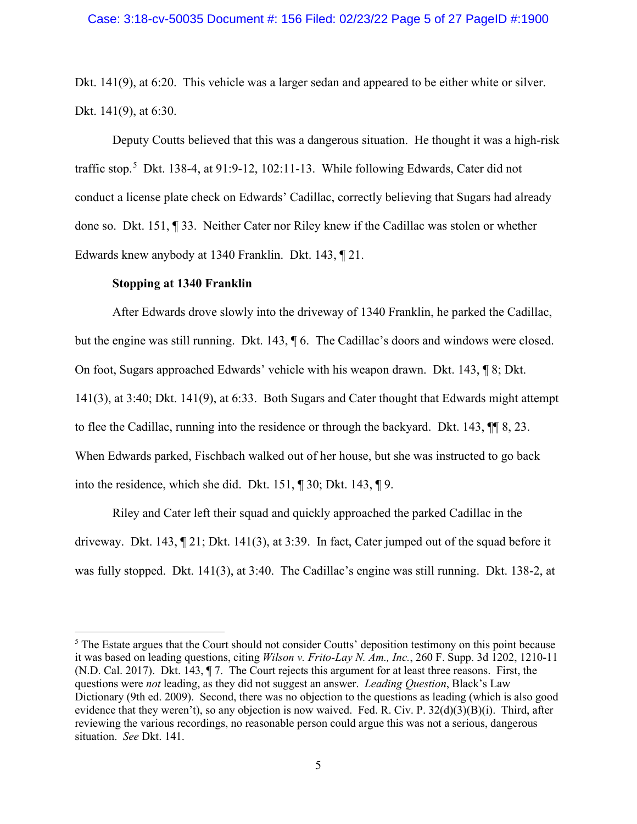#### Case: 3:18-cv-50035 Document #: 156 Filed: 02/23/22 Page 5 of 27 PageID #:1900

Dkt. 141(9), at 6:20. This vehicle was a larger sedan and appeared to be either white or silver. Dkt. 141(9), at 6:30.

Deputy Coutts believed that this was a dangerous situation. He thought it was a high-risk traffic stop.<sup>5</sup> Dkt. 138-4, at 91:9-12, 102:11-13. While following Edwards, Cater did not conduct a license plate check on Edwards' Cadillac, correctly believing that Sugars had already done so. Dkt. 151, ¶ 33. Neither Cater nor Riley knew if the Cadillac was stolen or whether Edwards knew anybody at 1340 Franklin. Dkt. 143, ¶ 21.

### **Stopping at 1340 Franklin**

After Edwards drove slowly into the driveway of 1340 Franklin, he parked the Cadillac, but the engine was still running. Dkt. 143, ¶ 6. The Cadillac's doors and windows were closed. On foot, Sugars approached Edwards' vehicle with his weapon drawn. Dkt. 143, ¶ 8; Dkt. 141(3), at 3:40; Dkt. 141(9), at 6:33. Both Sugars and Cater thought that Edwards might attempt to flee the Cadillac, running into the residence or through the backyard. Dkt. 143, ¶¶ 8, 23. When Edwards parked, Fischbach walked out of her house, but she was instructed to go back into the residence, which she did. Dkt. 151, ¶ 30; Dkt. 143, ¶ 9.

Riley and Cater left their squad and quickly approached the parked Cadillac in the driveway. Dkt. 143, ¶ 21; Dkt. 141(3), at 3:39. In fact, Cater jumped out of the squad before it was fully stopped. Dkt. 141(3), at 3:40. The Cadillac's engine was still running. Dkt. 138-2, at

<sup>&</sup>lt;sup>5</sup> The Estate argues that the Court should not consider Coutts' deposition testimony on this point because it was based on leading questions, citing *Wilson v. Frito-Lay N. Am., Inc.*, 260 F. Supp. 3d 1202, 1210-11 (N.D. Cal. 2017). Dkt. 143, ¶ 7. The Court rejects this argument for at least three reasons. First, the questions were *not* leading, as they did not suggest an answer. *Leading Question*, Black's Law Dictionary (9th ed. 2009). Second, there was no objection to the questions as leading (which is also good evidence that they weren't), so any objection is now waived. Fed. R. Civ. P. 32(d)(3)(B)(i). Third, after reviewing the various recordings, no reasonable person could argue this was not a serious, dangerous situation. *See* Dkt. 141.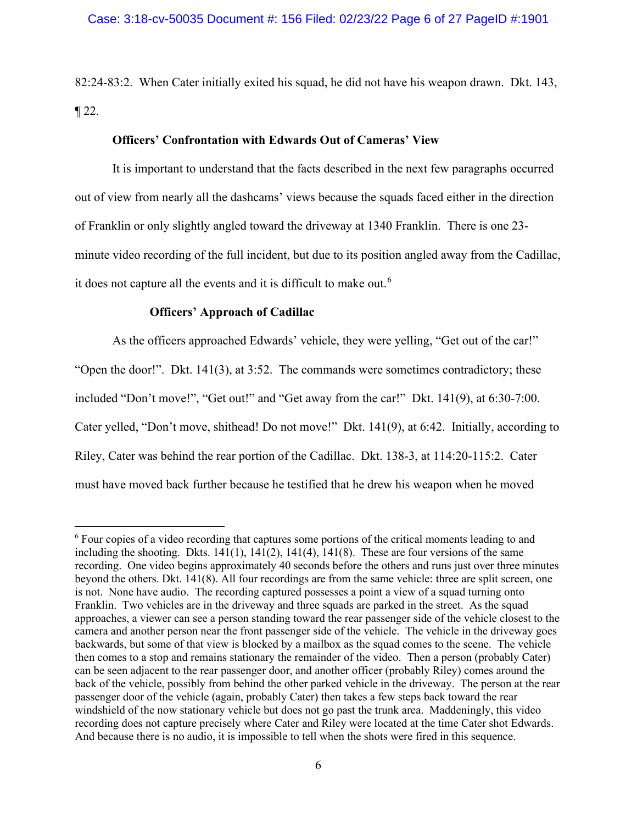82:24-83:2. When Cater initially exited his squad, he did not have his weapon drawn. Dkt. 143,  $\P$  22.

# **Officers' Confrontation with Edwards Out of Cameras' View**

It is important to understand that the facts described in the next few paragraphs occurred out of view from nearly all the dashcams' views because the squads faced either in the direction of Franklin or only slightly angled toward the driveway at 1340 Franklin. There is one 23 minute video recording of the full incident, but due to its position angled away from the Cadillac, it does not capture all the events and it is difficult to make out.<sup>6</sup>

# **Officers' Approach of Cadillac**

As the officers approached Edwards' vehicle, they were yelling, "Get out of the car!" "Open the door!". Dkt. 141(3), at 3:52. The commands were sometimes contradictory; these included "Don't move!", "Get out!" and "Get away from the car!" Dkt. 141(9), at 6:30-7:00. Cater yelled, "Don't move, shithead! Do not move!" Dkt. 141(9), at 6:42. Initially, according to Riley, Cater was behind the rear portion of the Cadillac. Dkt. 138-3, at 114:20-115:2. Cater must have moved back further because he testified that he drew his weapon when he moved

<sup>&</sup>lt;sup>6</sup> Four copies of a video recording that captures some portions of the critical moments leading to and including the shooting. Dkts.  $141(1)$ ,  $141(2)$ ,  $141(4)$ ,  $141(8)$ . These are four versions of the same recording. One video begins approximately 40 seconds before the others and runs just over three minutes beyond the others. Dkt. 141(8). All four recordings are from the same vehicle: three are split screen, one is not. None have audio. The recording captured possesses a point a view of a squad turning onto Franklin. Two vehicles are in the driveway and three squads are parked in the street. As the squad approaches, a viewer can see a person standing toward the rear passenger side of the vehicle closest to the camera and another person near the front passenger side of the vehicle. The vehicle in the driveway goes backwards, but some of that view is blocked by a mailbox as the squad comes to the scene. The vehicle then comes to a stop and remains stationary the remainder of the video. Then a person (probably Cater) can be seen adjacent to the rear passenger door, and another officer (probably Riley) comes around the back of the vehicle, possibly from behind the other parked vehicle in the driveway. The person at the rear passenger door of the vehicle (again, probably Cater) then takes a few steps back toward the rear windshield of the now stationary vehicle but does not go past the trunk area. Maddeningly, this video recording does not capture precisely where Cater and Riley were located at the time Cater shot Edwards. And because there is no audio, it is impossible to tell when the shots were fired in this sequence.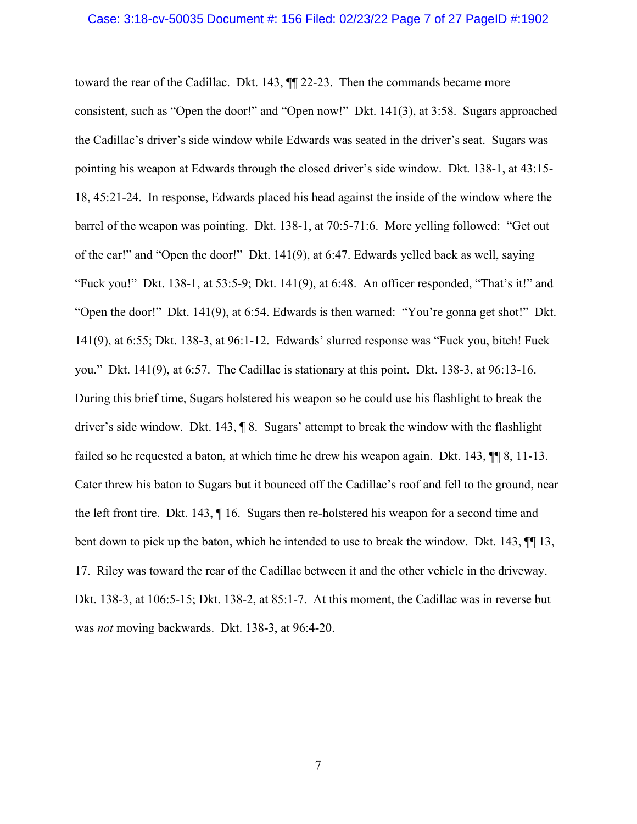#### Case: 3:18-cv-50035 Document #: 156 Filed: 02/23/22 Page 7 of 27 PageID #:1902

toward the rear of the Cadillac. Dkt. 143, ¶¶ 22-23. Then the commands became more consistent, such as "Open the door!" and "Open now!" Dkt. 141(3), at 3:58. Sugars approached the Cadillac's driver's side window while Edwards was seated in the driver's seat. Sugars was pointing his weapon at Edwards through the closed driver's side window. Dkt. 138-1, at 43:15- 18, 45:21-24. In response, Edwards placed his head against the inside of the window where the barrel of the weapon was pointing. Dkt. 138-1, at 70:5-71:6. More yelling followed: "Get out of the car!" and "Open the door!" Dkt. 141(9), at 6:47. Edwards yelled back as well, saying "Fuck you!" Dkt. 138-1, at 53:5-9; Dkt. 141(9), at 6:48. An officer responded, "That's it!" and "Open the door!" Dkt. 141(9), at 6:54. Edwards is then warned: "You're gonna get shot!" Dkt. 141(9), at 6:55; Dkt. 138-3, at 96:1-12. Edwards' slurred response was "Fuck you, bitch! Fuck you." Dkt. 141(9), at 6:57. The Cadillac is stationary at this point. Dkt. 138-3, at 96:13-16. During this brief time, Sugars holstered his weapon so he could use his flashlight to break the driver's side window. Dkt. 143, ¶ 8. Sugars' attempt to break the window with the flashlight failed so he requested a baton, at which time he drew his weapon again. Dkt. 143,  $\P$  8, 11-13. Cater threw his baton to Sugars but it bounced off the Cadillac's roof and fell to the ground, near the left front tire. Dkt. 143, ¶ 16. Sugars then re-holstered his weapon for a second time and bent down to pick up the baton, which he intended to use to break the window. Dkt. 143, ¶¶ 13, 17. Riley was toward the rear of the Cadillac between it and the other vehicle in the driveway. Dkt. 138-3, at 106:5-15; Dkt. 138-2, at 85:1-7. At this moment, the Cadillac was in reverse but was *not* moving backwards. Dkt. 138-3, at 96:4-20.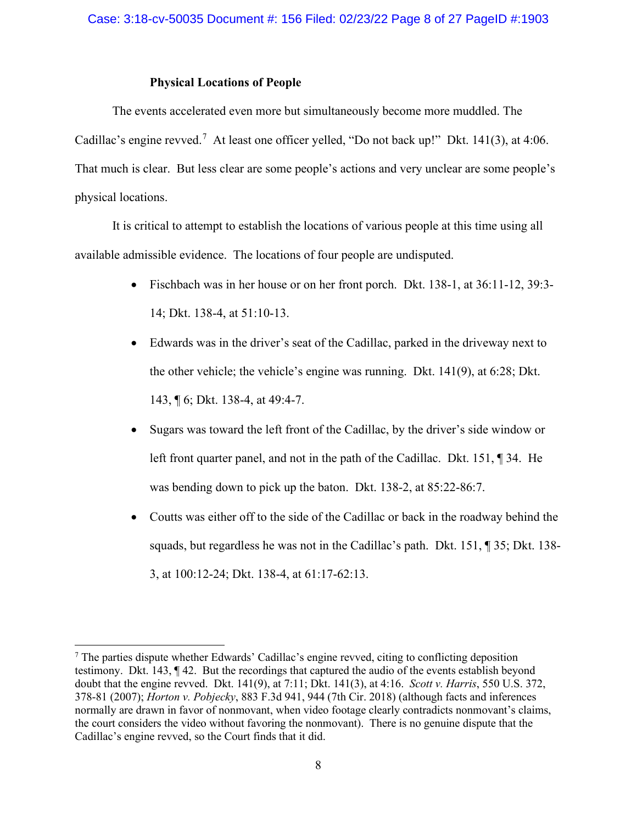### **Physical Locations of People**

The events accelerated even more but simultaneously become more muddled. The Cadillac's engine revved.<sup>7</sup> At least one officer yelled, "Do not back up!" Dkt. 141(3), at 4:06. That much is clear. But less clear are some people's actions and very unclear are some people's physical locations.

It is critical to attempt to establish the locations of various people at this time using all available admissible evidence. The locations of four people are undisputed.

- Fischbach was in her house or on her front porch. Dkt. 138-1, at 36:11-12, 39:3-14; Dkt. 138-4, at 51:10-13.
- Edwards was in the driver's seat of the Cadillac, parked in the driveway next to the other vehicle; the vehicle's engine was running. Dkt. 141(9), at 6:28; Dkt. 143, ¶ 6; Dkt. 138-4, at 49:4-7.
- Sugars was toward the left front of the Cadillac, by the driver's side window or left front quarter panel, and not in the path of the Cadillac. Dkt. 151, ¶ 34. He was bending down to pick up the baton. Dkt. 138-2, at 85:22-86:7.
- Coutts was either off to the side of the Cadillac or back in the roadway behind the squads, but regardless he was not in the Cadillac's path. Dkt. 151, ¶ 35; Dkt. 138- 3, at 100:12-24; Dkt. 138-4, at 61:17-62:13.

<sup>&</sup>lt;sup>7</sup> The parties dispute whether Edwards' Cadillac's engine revved, citing to conflicting deposition testimony. Dkt. 143, ¶ 42. But the recordings that captured the audio of the events establish beyond doubt that the engine revved. Dkt. 141(9), at 7:11; Dkt. 141(3), at 4:16. *Scott v. Harris*, 550 U.S. 372, 378-81 (2007); *Horton v. Pobjecky*, 883 F.3d 941, 944 (7th Cir. 2018) (although facts and inferences normally are drawn in favor of nonmovant, when video footage clearly contradicts nonmovant's claims, the court considers the video without favoring the nonmovant). There is no genuine dispute that the Cadillac's engine revved, so the Court finds that it did.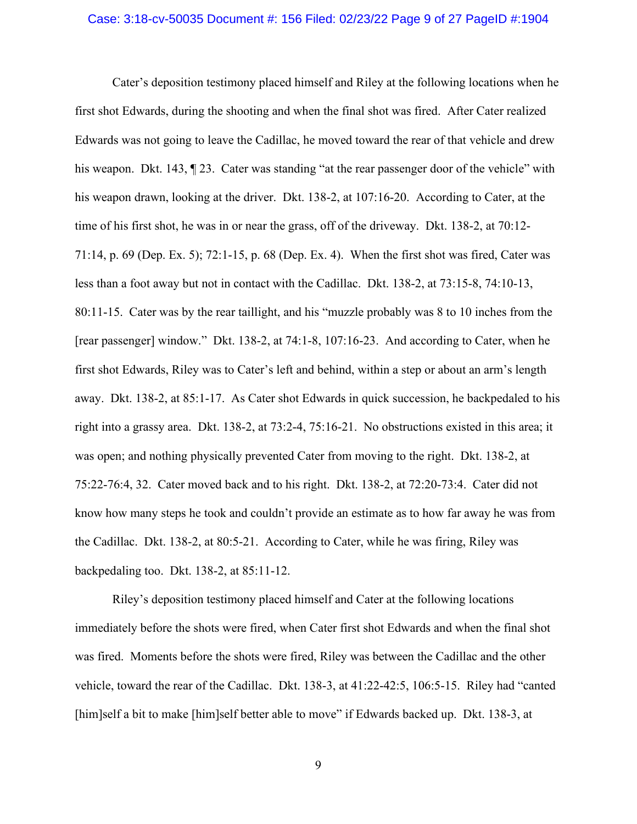#### Case: 3:18-cv-50035 Document #: 156 Filed: 02/23/22 Page 9 of 27 PageID #:1904

Cater's deposition testimony placed himself and Riley at the following locations when he first shot Edwards, during the shooting and when the final shot was fired. After Cater realized Edwards was not going to leave the Cadillac, he moved toward the rear of that vehicle and drew his weapon. Dkt. 143,  $\parallel$  23. Cater was standing "at the rear passenger door of the vehicle" with his weapon drawn, looking at the driver. Dkt. 138-2, at 107:16-20. According to Cater, at the time of his first shot, he was in or near the grass, off of the driveway. Dkt. 138-2, at 70:12- 71:14, p. 69 (Dep. Ex. 5); 72:1-15, p. 68 (Dep. Ex. 4). When the first shot was fired, Cater was less than a foot away but not in contact with the Cadillac. Dkt. 138-2, at 73:15-8, 74:10-13, 80:11-15. Cater was by the rear taillight, and his "muzzle probably was 8 to 10 inches from the [rear passenger] window." Dkt. 138-2, at 74:1-8, 107:16-23. And according to Cater, when he first shot Edwards, Riley was to Cater's left and behind, within a step or about an arm's length away. Dkt. 138-2, at 85:1-17. As Cater shot Edwards in quick succession, he backpedaled to his right into a grassy area. Dkt. 138-2, at 73:2-4, 75:16-21. No obstructions existed in this area; it was open; and nothing physically prevented Cater from moving to the right. Dkt. 138-2, at 75:22-76:4, 32. Cater moved back and to his right. Dkt. 138-2, at 72:20-73:4. Cater did not know how many steps he took and couldn't provide an estimate as to how far away he was from the Cadillac. Dkt. 138-2, at 80:5-21. According to Cater, while he was firing, Riley was backpedaling too. Dkt. 138-2, at 85:11-12.

Riley's deposition testimony placed himself and Cater at the following locations immediately before the shots were fired, when Cater first shot Edwards and when the final shot was fired. Moments before the shots were fired, Riley was between the Cadillac and the other vehicle, toward the rear of the Cadillac. Dkt. 138-3, at 41:22-42:5, 106:5-15. Riley had "canted [him]self a bit to make [him]self better able to move" if Edwards backed up. Dkt. 138-3, at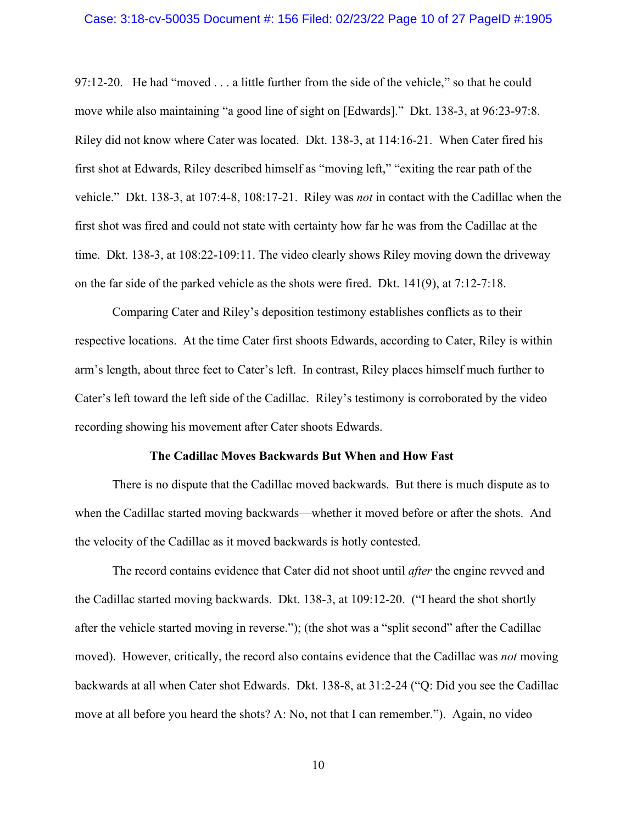#### Case: 3:18-cv-50035 Document #: 156 Filed: 02/23/22 Page 10 of 27 PageID #:1905

97:12-20. He had "moved . . . a little further from the side of the vehicle," so that he could move while also maintaining "a good line of sight on [Edwards]." Dkt. 138-3, at 96:23-97:8. Riley did not know where Cater was located. Dkt. 138-3, at 114:16-21. When Cater fired his first shot at Edwards, Riley described himself as "moving left," "exiting the rear path of the vehicle." Dkt. 138-3, at 107:4-8, 108:17-21. Riley was *not* in contact with the Cadillac when the first shot was fired and could not state with certainty how far he was from the Cadillac at the time. Dkt. 138-3, at 108:22-109:11. The video clearly shows Riley moving down the driveway on the far side of the parked vehicle as the shots were fired. Dkt. 141(9), at 7:12-7:18.

Comparing Cater and Riley's deposition testimony establishes conflicts as to their respective locations. At the time Cater first shoots Edwards, according to Cater, Riley is within arm's length, about three feet to Cater's left. In contrast, Riley places himself much further to Cater's left toward the left side of the Cadillac. Riley's testimony is corroborated by the video recording showing his movement after Cater shoots Edwards.

#### **The Cadillac Moves Backwards But When and How Fast**

There is no dispute that the Cadillac moved backwards. But there is much dispute as to when the Cadillac started moving backwards—whether it moved before or after the shots. And the velocity of the Cadillac as it moved backwards is hotly contested.

The record contains evidence that Cater did not shoot until *after* the engine revved and the Cadillac started moving backwards. Dkt. 138-3, at 109:12-20. ("I heard the shot shortly after the vehicle started moving in reverse."); (the shot was a "split second" after the Cadillac moved). However, critically, the record also contains evidence that the Cadillac was *not* moving backwards at all when Cater shot Edwards. Dkt. 138-8, at 31:2-24 ("Q: Did you see the Cadillac move at all before you heard the shots? A: No, not that I can remember."). Again, no video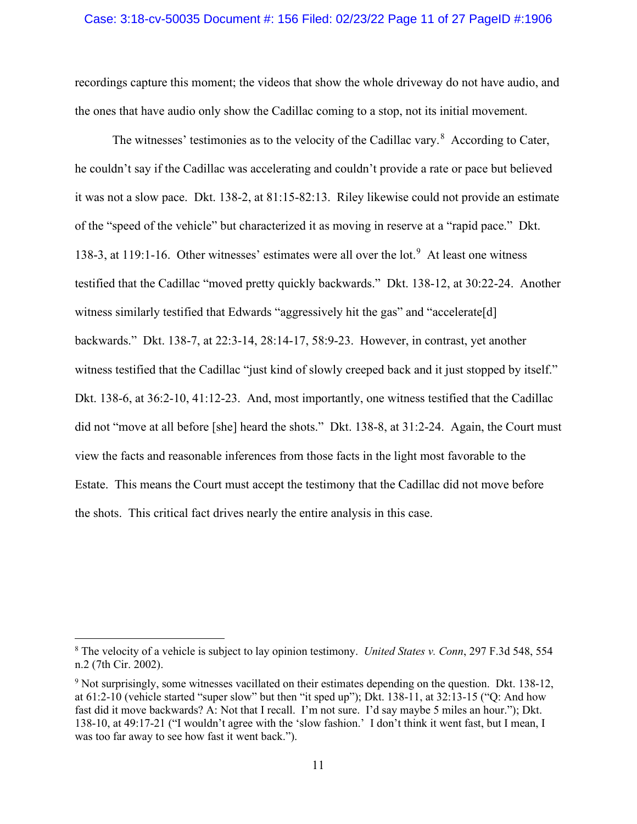#### Case: 3:18-cv-50035 Document #: 156 Filed: 02/23/22 Page 11 of 27 PageID #:1906

recordings capture this moment; the videos that show the whole driveway do not have audio, and the ones that have audio only show the Cadillac coming to a stop, not its initial movement.

The witnesses' testimonies as to the velocity of the Cadillac vary. $8$  According to Cater, he couldn't say if the Cadillac was accelerating and couldn't provide a rate or pace but believed it was not a slow pace. Dkt. 138-2, at 81:15-82:13. Riley likewise could not provide an estimate of the "speed of the vehicle" but characterized it as moving in reserve at a "rapid pace." Dkt. 138-3, at 119:1-16. Other witnesses' estimates were all over the lot.<sup>9</sup> At least one witness testified that the Cadillac "moved pretty quickly backwards." Dkt. 138-12, at 30:22-24. Another witness similarly testified that Edwards "aggressively hit the gas" and "accelerate[d] backwards." Dkt. 138-7, at 22:3-14, 28:14-17, 58:9-23. However, in contrast, yet another witness testified that the Cadillac "just kind of slowly creeped back and it just stopped by itself." Dkt. 138-6, at 36:2-10, 41:12-23. And, most importantly, one witness testified that the Cadillac did not "move at all before [she] heard the shots." Dkt. 138-8, at 31:2-24. Again, the Court must view the facts and reasonable inferences from those facts in the light most favorable to the Estate. This means the Court must accept the testimony that the Cadillac did not move before the shots. This critical fact drives nearly the entire analysis in this case.

<sup>8</sup> The velocity of a vehicle is subject to lay opinion testimony. *United States v. Conn*, 297 F.3d 548, 554 n.2 (7th Cir. 2002).

<sup>9</sup> Not surprisingly, some witnesses vacillated on their estimates depending on the question. Dkt. 138-12, at 61:2-10 (vehicle started "super slow" but then "it sped up"); Dkt. 138-11, at 32:13-15 ("Q: And how fast did it move backwards? A: Not that I recall. I'm not sure. I'd say maybe 5 miles an hour."); Dkt. 138-10, at 49:17-21 ("I wouldn't agree with the 'slow fashion.' I don't think it went fast, but I mean, I was too far away to see how fast it went back.").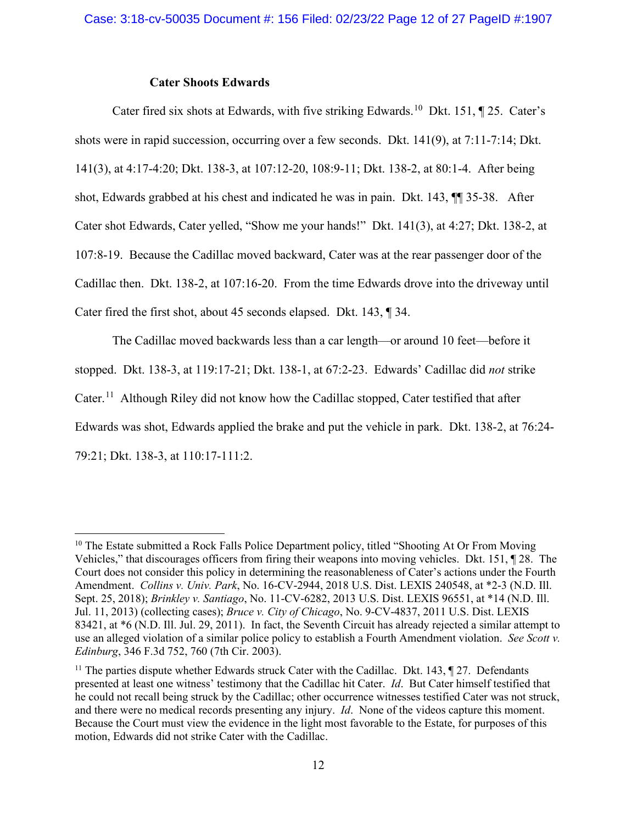### **Cater Shoots Edwards**

Cater fired six shots at Edwards, with five striking Edwards.<sup>10</sup> Dkt. 151,  $\parallel$  25. Cater's shots were in rapid succession, occurring over a few seconds. Dkt. 141(9), at 7:11-7:14; Dkt. 141(3), at 4:17-4:20; Dkt. 138-3, at 107:12-20, 108:9-11; Dkt. 138-2, at 80:1-4. After being shot, Edwards grabbed at his chest and indicated he was in pain. Dkt. 143, ¶¶ 35-38. After Cater shot Edwards, Cater yelled, "Show me your hands!" Dkt. 141(3), at 4:27; Dkt. 138-2, at 107:8-19. Because the Cadillac moved backward, Cater was at the rear passenger door of the Cadillac then. Dkt. 138-2, at 107:16-20. From the time Edwards drove into the driveway until Cater fired the first shot, about 45 seconds elapsed. Dkt. 143, ¶ 34.

The Cadillac moved backwards less than a car length—or around 10 feet—before it stopped. Dkt. 138-3, at 119:17-21; Dkt. 138-1, at 67:2-23. Edwards' Cadillac did *not* strike Cater.<sup>11</sup> Although Riley did not know how the Cadillac stopped, Cater testified that after Edwards was shot, Edwards applied the brake and put the vehicle in park. Dkt. 138-2, at 76:24- 79:21; Dkt. 138-3, at 110:17-111:2.

 $10$  The Estate submitted a Rock Falls Police Department policy, titled "Shooting At Or From Moving" Vehicles," that discourages officers from firing their weapons into moving vehicles. Dkt. 151, ¶ 28. The Court does not consider this policy in determining the reasonableness of Cater's actions under the Fourth Amendment. *Collins v. Univ. Park*, No. 16-CV-2944, 2018 U.S. Dist. LEXIS 240548, at \*2-3 (N.D. Ill. Sept. 25, 2018); *Brinkley v. Santiago*, No. 11-CV-6282, 2013 U.S. Dist. LEXIS 96551, at \*14 (N.D. Ill. Jul. 11, 2013) (collecting cases); *Bruce v. City of Chicago*, No. 9-CV-4837, 2011 U.S. Dist. LEXIS 83421, at \*6 (N.D. Ill. Jul. 29, 2011). In fact, the Seventh Circuit has already rejected a similar attempt to use an alleged violation of a similar police policy to establish a Fourth Amendment violation. *See Scott v. Edinburg*, 346 F.3d 752, 760 (7th Cir. 2003).

<sup>&</sup>lt;sup>11</sup> The parties dispute whether Edwards struck Cater with the Cadillac. Dkt. 143,  $\sim$  27. Defendants presented at least one witness' testimony that the Cadillac hit Cater. *Id*. But Cater himself testified that he could not recall being struck by the Cadillac; other occurrence witnesses testified Cater was not struck, and there were no medical records presenting any injury. *Id*. None of the videos capture this moment. Because the Court must view the evidence in the light most favorable to the Estate, for purposes of this motion, Edwards did not strike Cater with the Cadillac.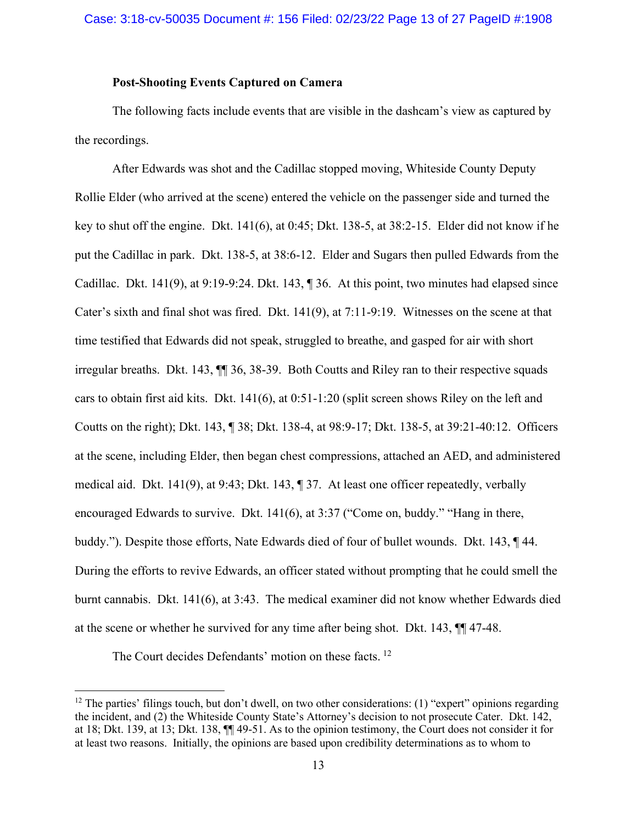## **Post-Shooting Events Captured on Camera**

The following facts include events that are visible in the dashcam's view as captured by the recordings.

After Edwards was shot and the Cadillac stopped moving, Whiteside County Deputy Rollie Elder (who arrived at the scene) entered the vehicle on the passenger side and turned the key to shut off the engine. Dkt. 141(6), at 0:45; Dkt. 138-5, at 38:2-15. Elder did not know if he put the Cadillac in park. Dkt. 138-5, at 38:6-12. Elder and Sugars then pulled Edwards from the Cadillac. Dkt. 141(9), at 9:19-9:24. Dkt. 143, ¶ 36. At this point, two minutes had elapsed since Cater's sixth and final shot was fired. Dkt. 141(9), at 7:11-9:19. Witnesses on the scene at that time testified that Edwards did not speak, struggled to breathe, and gasped for air with short irregular breaths. Dkt. 143, ¶¶ 36, 38-39. Both Coutts and Riley ran to their respective squads cars to obtain first aid kits. Dkt. 141(6), at 0:51-1:20 (split screen shows Riley on the left and Coutts on the right); Dkt. 143, ¶ 38; Dkt. 138-4, at 98:9-17; Dkt. 138-5, at 39:21-40:12. Officers at the scene, including Elder, then began chest compressions, attached an AED, and administered medical aid. Dkt. 141(9), at 9:43; Dkt. 143, ¶ 37. At least one officer repeatedly, verbally encouraged Edwards to survive. Dkt. 141(6), at 3:37 ("Come on, buddy." "Hang in there, buddy."). Despite those efforts, Nate Edwards died of four of bullet wounds. Dkt. 143, ¶ 44. During the efforts to revive Edwards, an officer stated without prompting that he could smell the burnt cannabis. Dkt. 141(6), at 3:43. The medical examiner did not know whether Edwards died at the scene or whether he survived for any time after being shot. Dkt. 143, ¶¶ 47-48.

The Court decides Defendants' motion on these facts.<sup>12</sup>

<sup>&</sup>lt;sup>12</sup> The parties' filings touch, but don't dwell, on two other considerations: (1) "expert" opinions regarding the incident, and (2) the Whiteside County State's Attorney's decision to not prosecute Cater. Dkt. 142, at 18; Dkt. 139, at 13; Dkt. 138, ¶¶ 49-51. As to the opinion testimony, the Court does not consider it for at least two reasons. Initially, the opinions are based upon credibility determinations as to whom to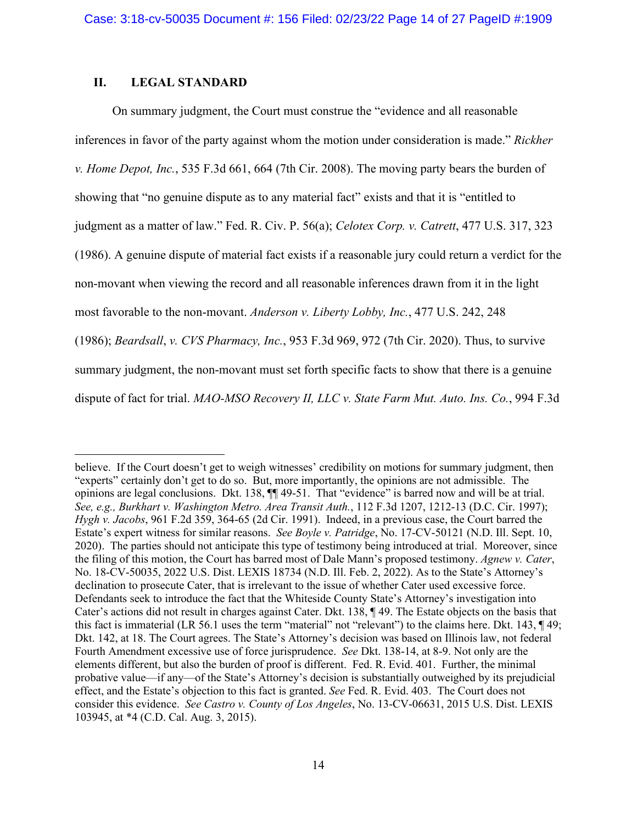# **II. LEGAL STANDARD**

On summary judgment, the Court must construe the "evidence and all reasonable inferences in favor of the party against whom the motion under consideration is made." *Rickher v. Home Depot, Inc.*, 535 F.3d 661, 664 (7th Cir. 2008). The moving party bears the burden of showing that "no genuine dispute as to any material fact" exists and that it is "entitled to judgment as a matter of law." Fed. R. Civ. P. 56(a); *Celotex Corp. v. Catrett*, 477 U.S. 317, 323 (1986). A genuine dispute of material fact exists if a reasonable jury could return a verdict for the non-movant when viewing the record and all reasonable inferences drawn from it in the light most favorable to the non-movant. *Anderson v. Liberty Lobby, Inc.*, 477 U.S. 242, 248 (1986); *Beardsall*, *v. CVS Pharmacy, Inc.*, 953 F.3d 969, 972 (7th Cir. 2020). Thus, to survive summary judgment, the non-movant must set forth specific facts to show that there is a genuine dispute of fact for trial. *MAO-MSO Recovery II, LLC v. State Farm Mut. Auto. Ins. Co.*, 994 F.3d

believe. If the Court doesn't get to weigh witnesses' credibility on motions for summary judgment, then "experts" certainly don't get to do so. But, more importantly, the opinions are not admissible. The opinions are legal conclusions. Dkt. 138, ¶¶ 49-51. That "evidence" is barred now and will be at trial. *See, e.g., Burkhart v. Washington Metro. Area Transit Auth.*, 112 F.3d 1207, 1212-13 (D.C. Cir. 1997); *Hygh v. Jacobs*, 961 F.2d 359, 364-65 (2d Cir. 1991). Indeed, in a previous case, the Court barred the Estate's expert witness for similar reasons. *See Boyle v. Patridge*, No. 17-CV-50121 (N.D. Ill. Sept. 10, 2020). The parties should not anticipate this type of testimony being introduced at trial. Moreover, since the filing of this motion, the Court has barred most of Dale Mann's proposed testimony. *Agnew v. Cater*, No. 18-CV-50035, 2022 U.S. Dist. LEXIS 18734 (N.D. Ill. Feb. 2, 2022). As to the State's Attorney's declination to prosecute Cater, that is irrelevant to the issue of whether Cater used excessive force. Defendants seek to introduce the fact that the Whiteside County State's Attorney's investigation into Cater's actions did not result in charges against Cater. Dkt. 138, ¶ 49. The Estate objects on the basis that this fact is immaterial (LR 56.1 uses the term "material" not "relevant") to the claims here. Dkt. 143, ¶ 49; Dkt. 142, at 18. The Court agrees. The State's Attorney's decision was based on Illinois law, not federal Fourth Amendment excessive use of force jurisprudence. *See* Dkt. 138-14, at 8-9. Not only are the elements different, but also the burden of proof is different. Fed. R. Evid. 401. Further, the minimal probative value—if any—of the State's Attorney's decision is substantially outweighed by its prejudicial effect, and the Estate's objection to this fact is granted. *See* Fed. R. Evid. 403. The Court does not consider this evidence. *See Castro v. County of Los Angeles*, No. 13-CV-06631, 2015 U.S. Dist. LEXIS 103945, at \*4 (C.D. Cal. Aug. 3, 2015).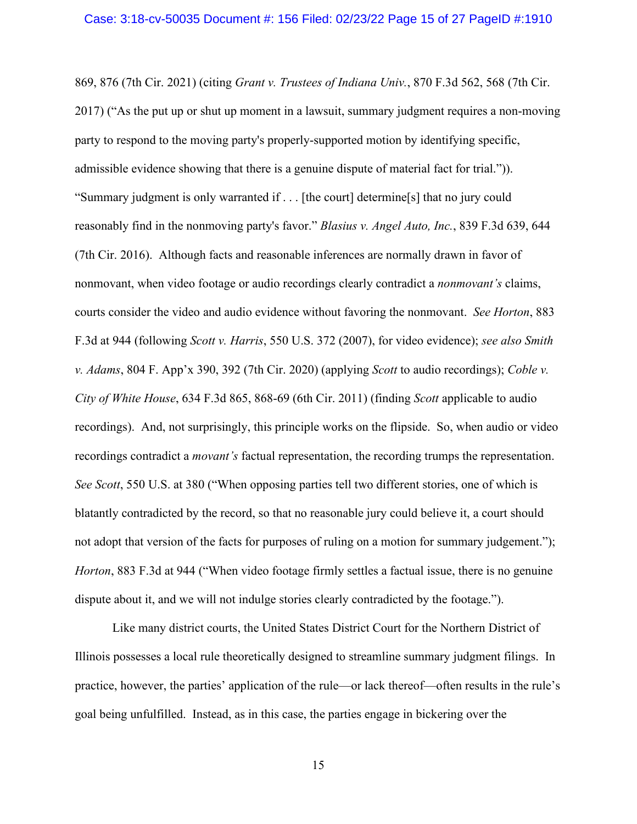869, 876 (7th Cir. 2021) (citing *Grant v. Trustees of Indiana Univ.*, 870 F.3d 562, 568 (7th Cir. 2017) ("As the put up or shut up moment in a lawsuit, summary judgment requires a non-moving party to respond to the moving party's properly-supported motion by identifying specific, admissible evidence showing that there is a genuine dispute of material fact for trial.")). "Summary judgment is only warranted if . . . [the court] determine[s] that no jury could reasonably find in the nonmoving party's favor." *Blasius v. Angel Auto, Inc.*, 839 F.3d 639, 644 (7th Cir. 2016). Although facts and reasonable inferences are normally drawn in favor of nonmovant, when video footage or audio recordings clearly contradict a *nonmovant's* claims, courts consider the video and audio evidence without favoring the nonmovant. *See Horton*, 883 F.3d at 944 (following *Scott v. Harris*, 550 U.S. 372 (2007), for video evidence); *see also Smith v. Adams*, 804 F. App'x 390, 392 (7th Cir. 2020) (applying *Scott* to audio recordings); *Coble v. City of White House*, 634 F.3d 865, 868-69 (6th Cir. 2011) (finding *Scott* applicable to audio recordings). And, not surprisingly, this principle works on the flipside. So, when audio or video recordings contradict a *movant's* factual representation, the recording trumps the representation. *See Scott*, 550 U.S. at 380 ("When opposing parties tell two different stories, one of which is blatantly contradicted by the record, so that no reasonable jury could believe it, a court should not adopt that version of the facts for purposes of ruling on a motion for summary judgement."); *Horton*, 883 F.3d at 944 ("When video footage firmly settles a factual issue, there is no genuine dispute about it, and we will not indulge stories clearly contradicted by the footage.").

Like many district courts, the United States District Court for the Northern District of Illinois possesses a local rule theoretically designed to streamline summary judgment filings. In practice, however, the parties' application of the rule—or lack thereof—often results in the rule's goal being unfulfilled. Instead, as in this case, the parties engage in bickering over the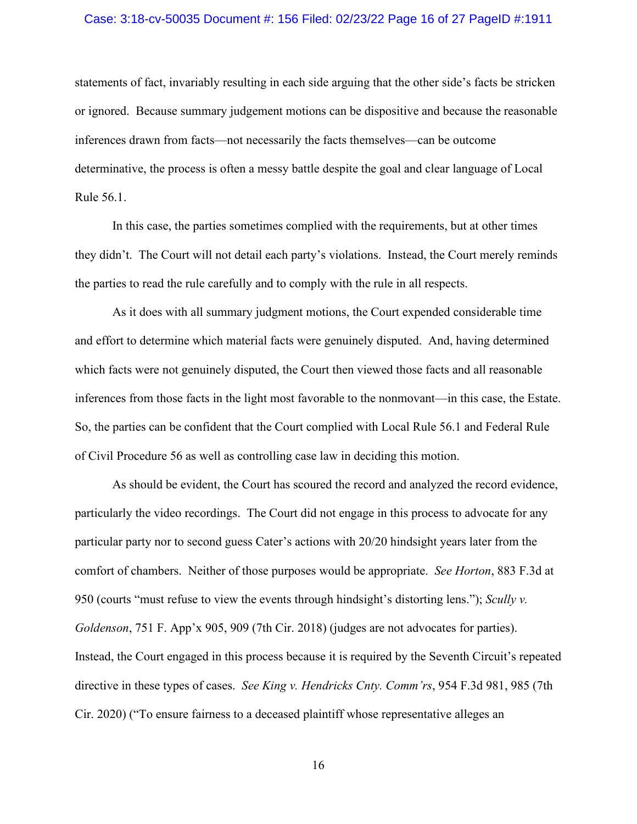#### Case: 3:18-cv-50035 Document #: 156 Filed: 02/23/22 Page 16 of 27 PageID #:1911

statements of fact, invariably resulting in each side arguing that the other side's facts be stricken or ignored. Because summary judgement motions can be dispositive and because the reasonable inferences drawn from facts—not necessarily the facts themselves—can be outcome determinative, the process is often a messy battle despite the goal and clear language of Local Rule 56.1.

In this case, the parties sometimes complied with the requirements, but at other times they didn't. The Court will not detail each party's violations. Instead, the Court merely reminds the parties to read the rule carefully and to comply with the rule in all respects.

As it does with all summary judgment motions, the Court expended considerable time and effort to determine which material facts were genuinely disputed. And, having determined which facts were not genuinely disputed, the Court then viewed those facts and all reasonable inferences from those facts in the light most favorable to the nonmovant—in this case, the Estate. So, the parties can be confident that the Court complied with Local Rule 56.1 and Federal Rule of Civil Procedure 56 as well as controlling case law in deciding this motion.

As should be evident, the Court has scoured the record and analyzed the record evidence, particularly the video recordings. The Court did not engage in this process to advocate for any particular party nor to second guess Cater's actions with 20/20 hindsight years later from the comfort of chambers. Neither of those purposes would be appropriate. *See Horton*, 883 F.3d at 950 (courts "must refuse to view the events through hindsight's distorting lens."); *Scully v. Goldenson*, 751 F. App'x 905, 909 (7th Cir. 2018) (judges are not advocates for parties). Instead, the Court engaged in this process because it is required by the Seventh Circuit's repeated directive in these types of cases. *See King v. Hendricks Cnty. Comm'rs*, 954 F.3d 981, 985 (7th Cir. 2020) ("To ensure fairness to a deceased plaintiff whose representative alleges an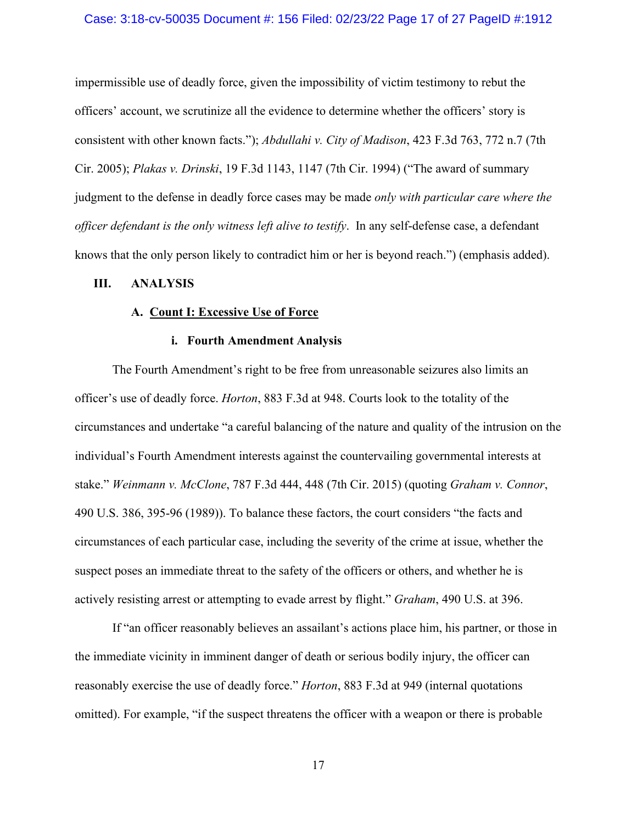#### Case: 3:18-cv-50035 Document #: 156 Filed: 02/23/22 Page 17 of 27 PageID #:1912

impermissible use of deadly force, given the impossibility of victim testimony to rebut the officers' account, we scrutinize all the evidence to determine whether the officers' story is consistent with other known facts."); *Abdullahi v. City of Madison*, 423 F.3d 763, 772 n.7 (7th Cir. 2005); *Plakas v. Drinski*, 19 F.3d 1143, 1147 (7th Cir. 1994) ("The award of summary judgment to the defense in deadly force cases may be made *only with particular care where the officer defendant is the only witness left alive to testify*. In any self-defense case, a defendant knows that the only person likely to contradict him or her is beyond reach.") (emphasis added).

#### **III. ANALYSIS**

#### **A. Count I: Excessive Use of Force**

### **i. Fourth Amendment Analysis**

The Fourth Amendment's right to be free from unreasonable seizures also limits an officer's use of deadly force. *Horton*, 883 F.3d at 948. Courts look to the totality of the circumstances and undertake "a careful balancing of the nature and quality of the intrusion on the individual's Fourth Amendment interests against the countervailing governmental interests at stake." *Weinmann v. McClone*, 787 F.3d 444, 448 (7th Cir. 2015) (quoting *Graham v. Connor*, 490 U.S. 386, 395-96 (1989)). To balance these factors, the court considers "the facts and circumstances of each particular case, including the severity of the crime at issue, whether the suspect poses an immediate threat to the safety of the officers or others, and whether he is actively resisting arrest or attempting to evade arrest by flight." *Graham*, 490 U.S. at 396.

If "an officer reasonably believes an assailant's actions place him, his partner, or those in the immediate vicinity in imminent danger of death or serious bodily injury, the officer can reasonably exercise the use of deadly force." *Horton*, 883 F.3d at 949 (internal quotations omitted). For example, "if the suspect threatens the officer with a weapon or there is probable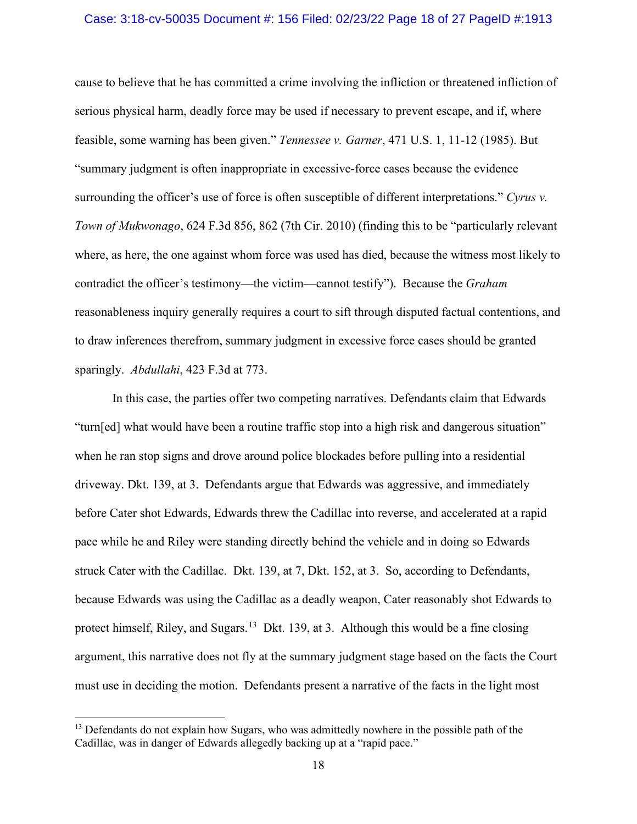#### Case: 3:18-cv-50035 Document #: 156 Filed: 02/23/22 Page 18 of 27 PageID #:1913

cause to believe that he has committed a crime involving the infliction or threatened infliction of serious physical harm, deadly force may be used if necessary to prevent escape, and if, where feasible, some warning has been given." *Tennessee v. Garner*, 471 U.S. 1, 11-12 (1985). But "summary judgment is often inappropriate in excessive-force cases because the evidence surrounding the officer's use of force is often susceptible of different interpretations." *Cyrus v. Town of Mukwonago*, 624 F.3d 856, 862 (7th Cir. 2010) (finding this to be "particularly relevant where, as here, the one against whom force was used has died, because the witness most likely to contradict the officer's testimony—the victim—cannot testify"). Because the *Graham* reasonableness inquiry generally requires a court to sift through disputed factual contentions, and to draw inferences therefrom, summary judgment in excessive force cases should be granted sparingly. *Abdullahi*, 423 F.3d at 773.

In this case, the parties offer two competing narratives. Defendants claim that Edwards "turn[ed] what would have been a routine traffic stop into a high risk and dangerous situation" when he ran stop signs and drove around police blockades before pulling into a residential driveway. Dkt. 139, at 3. Defendants argue that Edwards was aggressive, and immediately before Cater shot Edwards, Edwards threw the Cadillac into reverse, and accelerated at a rapid pace while he and Riley were standing directly behind the vehicle and in doing so Edwards struck Cater with the Cadillac. Dkt. 139, at 7, Dkt. 152, at 3. So, according to Defendants, because Edwards was using the Cadillac as a deadly weapon, Cater reasonably shot Edwards to protect himself, Riley, and Sugars.<sup>13</sup> Dkt. 139, at 3. Although this would be a fine closing argument, this narrative does not fly at the summary judgment stage based on the facts the Court must use in deciding the motion. Defendants present a narrative of the facts in the light most

<sup>&</sup>lt;sup>13</sup> Defendants do not explain how Sugars, who was admittedly nowhere in the possible path of the Cadillac, was in danger of Edwards allegedly backing up at a "rapid pace."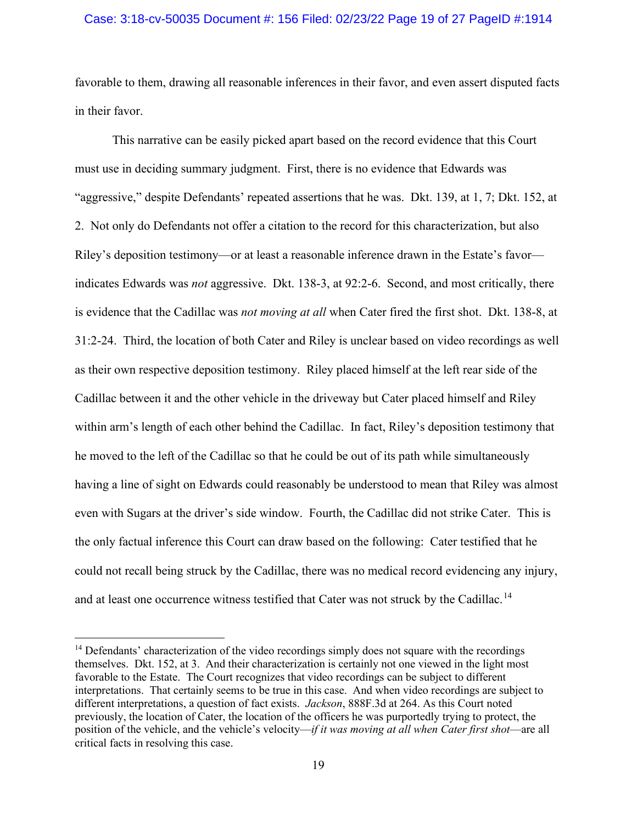### Case: 3:18-cv-50035 Document #: 156 Filed: 02/23/22 Page 19 of 27 PageID #:1914

favorable to them, drawing all reasonable inferences in their favor, and even assert disputed facts in their favor.

This narrative can be easily picked apart based on the record evidence that this Court must use in deciding summary judgment. First, there is no evidence that Edwards was "aggressive," despite Defendants' repeated assertions that he was. Dkt. 139, at 1, 7; Dkt. 152, at 2. Not only do Defendants not offer a citation to the record for this characterization, but also Riley's deposition testimony—or at least a reasonable inference drawn in the Estate's favor indicates Edwards was *not* aggressive. Dkt. 138-3, at 92:2-6. Second, and most critically, there is evidence that the Cadillac was *not moving at all* when Cater fired the first shot. Dkt. 138-8, at 31:2-24. Third, the location of both Cater and Riley is unclear based on video recordings as well as their own respective deposition testimony. Riley placed himself at the left rear side of the Cadillac between it and the other vehicle in the driveway but Cater placed himself and Riley within arm's length of each other behind the Cadillac. In fact, Riley's deposition testimony that he moved to the left of the Cadillac so that he could be out of its path while simultaneously having a line of sight on Edwards could reasonably be understood to mean that Riley was almost even with Sugars at the driver's side window. Fourth, the Cadillac did not strike Cater. This is the only factual inference this Court can draw based on the following: Cater testified that he could not recall being struck by the Cadillac, there was no medical record evidencing any injury, and at least one occurrence witness testified that Cater was not struck by the Cadillac.<sup>14</sup>

<sup>&</sup>lt;sup>14</sup> Defendants' characterization of the video recordings simply does not square with the recordings themselves. Dkt. 152, at 3. And their characterization is certainly not one viewed in the light most favorable to the Estate. The Court recognizes that video recordings can be subject to different interpretations. That certainly seems to be true in this case. And when video recordings are subject to different interpretations, a question of fact exists. *Jackson*, 888F.3d at 264. As this Court noted previously, the location of Cater, the location of the officers he was purportedly trying to protect, the position of the vehicle, and the vehicle's velocity—*if it was moving at all when Cater first shot*—are all critical facts in resolving this case.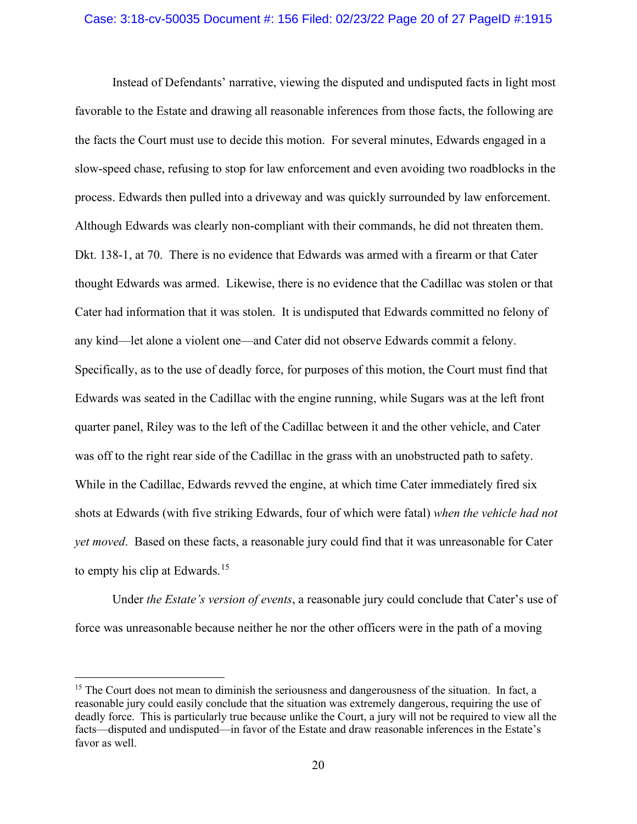#### Case: 3:18-cv-50035 Document #: 156 Filed: 02/23/22 Page 20 of 27 PageID #:1915

Instead of Defendants' narrative, viewing the disputed and undisputed facts in light most favorable to the Estate and drawing all reasonable inferences from those facts, the following are the facts the Court must use to decide this motion. For several minutes, Edwards engaged in a slow-speed chase, refusing to stop for law enforcement and even avoiding two roadblocks in the process. Edwards then pulled into a driveway and was quickly surrounded by law enforcement. Although Edwards was clearly non-compliant with their commands, he did not threaten them. Dkt. 138-1, at 70. There is no evidence that Edwards was armed with a firearm or that Cater thought Edwards was armed. Likewise, there is no evidence that the Cadillac was stolen or that Cater had information that it was stolen. It is undisputed that Edwards committed no felony of any kind—let alone a violent one—and Cater did not observe Edwards commit a felony. Specifically, as to the use of deadly force, for purposes of this motion, the Court must find that Edwards was seated in the Cadillac with the engine running, while Sugars was at the left front quarter panel, Riley was to the left of the Cadillac between it and the other vehicle, and Cater was off to the right rear side of the Cadillac in the grass with an unobstructed path to safety. While in the Cadillac, Edwards revved the engine, at which time Cater immediately fired six shots at Edwards (with five striking Edwards, four of which were fatal) *when the vehicle had not yet moved*. Based on these facts, a reasonable jury could find that it was unreasonable for Cater to empty his clip at Edwards.<sup>15</sup>

Under *the Estate's version of events*, a reasonable jury could conclude that Cater's use of force was unreasonable because neither he nor the other officers were in the path of a moving

<sup>&</sup>lt;sup>15</sup> The Court does not mean to diminish the seriousness and dangerousness of the situation. In fact, a reasonable jury could easily conclude that the situation was extremely dangerous, requiring the use of deadly force. This is particularly true because unlike the Court, a jury will not be required to view all the facts—disputed and undisputed—in favor of the Estate and draw reasonable inferences in the Estate's favor as well.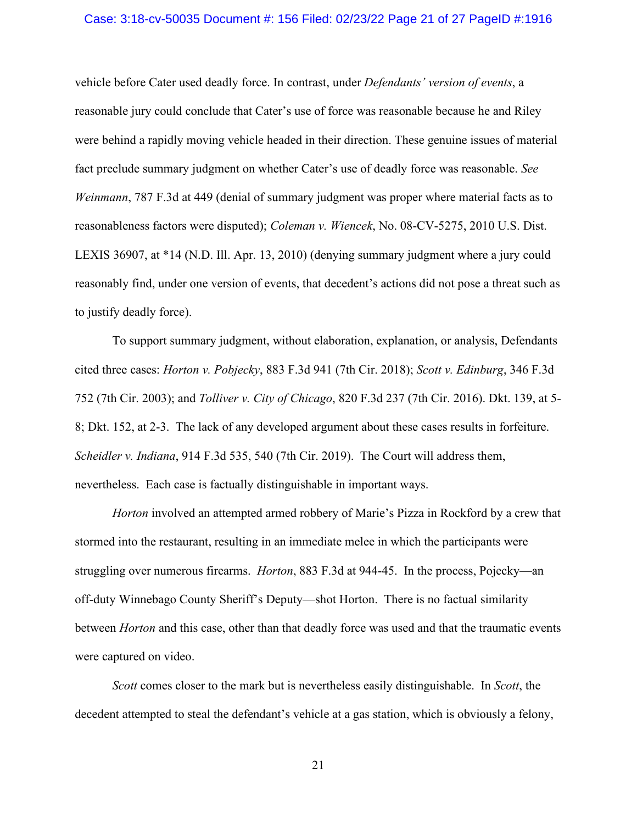#### Case: 3:18-cv-50035 Document #: 156 Filed: 02/23/22 Page 21 of 27 PageID #:1916

vehicle before Cater used deadly force. In contrast, under *Defendants' version of events*, a reasonable jury could conclude that Cater's use of force was reasonable because he and Riley were behind a rapidly moving vehicle headed in their direction. These genuine issues of material fact preclude summary judgment on whether Cater's use of deadly force was reasonable. *See Weinmann*, 787 F.3d at 449 (denial of summary judgment was proper where material facts as to reasonableness factors were disputed); *Coleman v. Wiencek*, No. 08-CV-5275, 2010 U.S. Dist. LEXIS 36907, at \*14 (N.D. Ill. Apr. 13, 2010) (denying summary judgment where a jury could reasonably find, under one version of events, that decedent's actions did not pose a threat such as to justify deadly force).

To support summary judgment, without elaboration, explanation, or analysis, Defendants cited three cases: *Horton v. Pobjecky*, 883 F.3d 941 (7th Cir. 2018); *Scott v. Edinburg*, 346 F.3d 752 (7th Cir. 2003); and *Tolliver v. City of Chicago*, 820 F.3d 237 (7th Cir. 2016). Dkt. 139, at 5- 8; Dkt. 152, at 2-3. The lack of any developed argument about these cases results in forfeiture. *Scheidler v. Indiana*, 914 F.3d 535, 540 (7th Cir. 2019). The Court will address them, nevertheless. Each case is factually distinguishable in important ways.

*Horton* involved an attempted armed robbery of Marie's Pizza in Rockford by a crew that stormed into the restaurant, resulting in an immediate melee in which the participants were struggling over numerous firearms. *Horton*, 883 F.3d at 944-45. In the process, Pojecky—an off-duty Winnebago County Sheriff's Deputy—shot Horton. There is no factual similarity between *Horton* and this case, other than that deadly force was used and that the traumatic events were captured on video.

*Scott* comes closer to the mark but is nevertheless easily distinguishable. In *Scott*, the decedent attempted to steal the defendant's vehicle at a gas station, which is obviously a felony,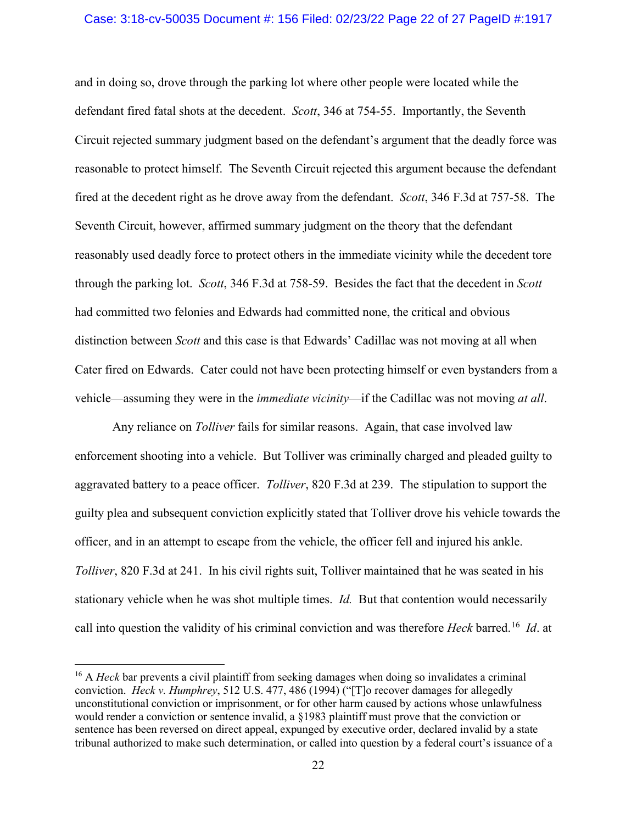#### Case: 3:18-cv-50035 Document #: 156 Filed: 02/23/22 Page 22 of 27 PageID #:1917

and in doing so, drove through the parking lot where other people were located while the defendant fired fatal shots at the decedent. *Scott*, 346 at 754-55. Importantly, the Seventh Circuit rejected summary judgment based on the defendant's argument that the deadly force was reasonable to protect himself. The Seventh Circuit rejected this argument because the defendant fired at the decedent right as he drove away from the defendant. *Scott*, 346 F.3d at 757-58. The Seventh Circuit, however, affirmed summary judgment on the theory that the defendant reasonably used deadly force to protect others in the immediate vicinity while the decedent tore through the parking lot. *Scott*, 346 F.3d at 758-59. Besides the fact that the decedent in *Scott* had committed two felonies and Edwards had committed none, the critical and obvious distinction between *Scott* and this case is that Edwards' Cadillac was not moving at all when Cater fired on Edwards. Cater could not have been protecting himself or even bystanders from a vehicle—assuming they were in the *immediate vicinity*—if the Cadillac was not moving *at all*.

Any reliance on *Tolliver* fails for similar reasons. Again, that case involved law enforcement shooting into a vehicle. But Tolliver was criminally charged and pleaded guilty to aggravated battery to a peace officer. *Tolliver*, 820 F.3d at 239. The stipulation to support the guilty plea and subsequent conviction explicitly stated that Tolliver drove his vehicle towards the officer, and in an attempt to escape from the vehicle, the officer fell and injured his ankle. *Tolliver*, 820 F.3d at 241. In his civil rights suit, Tolliver maintained that he was seated in his stationary vehicle when he was shot multiple times. *Id.* But that contention would necessarily call into question the validity of his criminal conviction and was therefore *Heck* barred.16 *Id*. at

<sup>&</sup>lt;sup>16</sup> A *Heck* bar prevents a civil plaintiff from seeking damages when doing so invalidates a criminal conviction. *Heck v. Humphrey*, 512 U.S. 477, 486 (1994) ("[T]o recover damages for allegedly unconstitutional conviction or imprisonment, or for other harm caused by actions whose unlawfulness would render a conviction or sentence invalid, a §1983 plaintiff must prove that the conviction or sentence has been reversed on direct appeal, expunged by executive order, declared invalid by a state tribunal authorized to make such determination, or called into question by a federal court's issuance of a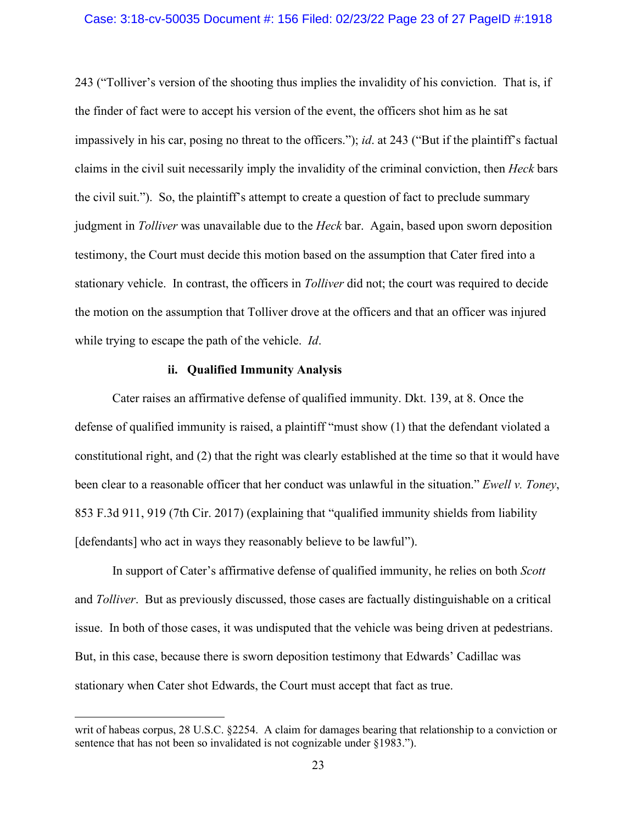#### Case: 3:18-cv-50035 Document #: 156 Filed: 02/23/22 Page 23 of 27 PageID #:1918

243 ("Tolliver's version of the shooting thus implies the invalidity of his conviction. That is, if the finder of fact were to accept his version of the event, the officers shot him as he sat impassively in his car, posing no threat to the officers."); *id*. at 243 ("But if the plaintiff's factual claims in the civil suit necessarily imply the invalidity of the criminal conviction, then *Heck* bars the civil suit."). So, the plaintiff's attempt to create a question of fact to preclude summary judgment in *Tolliver* was unavailable due to the *Heck* bar. Again, based upon sworn deposition testimony, the Court must decide this motion based on the assumption that Cater fired into a stationary vehicle. In contrast, the officers in *Tolliver* did not; the court was required to decide the motion on the assumption that Tolliver drove at the officers and that an officer was injured while trying to escape the path of the vehicle. *Id*.

### **ii. Qualified Immunity Analysis**

Cater raises an affirmative defense of qualified immunity. Dkt. 139, at 8. Once the defense of qualified immunity is raised, a plaintiff "must show (1) that the defendant violated a constitutional right, and (2) that the right was clearly established at the time so that it would have been clear to a reasonable officer that her conduct was unlawful in the situation." *Ewell v. Toney*, 853 F.3d 911, 919 (7th Cir. 2017) (explaining that "qualified immunity shields from liability [defendants] who act in ways they reasonably believe to be lawful").

In support of Cater's affirmative defense of qualified immunity, he relies on both *Scott* and *Tolliver*. But as previously discussed, those cases are factually distinguishable on a critical issue. In both of those cases, it was undisputed that the vehicle was being driven at pedestrians. But, in this case, because there is sworn deposition testimony that Edwards' Cadillac was stationary when Cater shot Edwards, the Court must accept that fact as true.

writ of habeas corpus, 28 U.S.C. §2254. A claim for damages bearing that relationship to a conviction or sentence that has not been so invalidated is not cognizable under §1983.").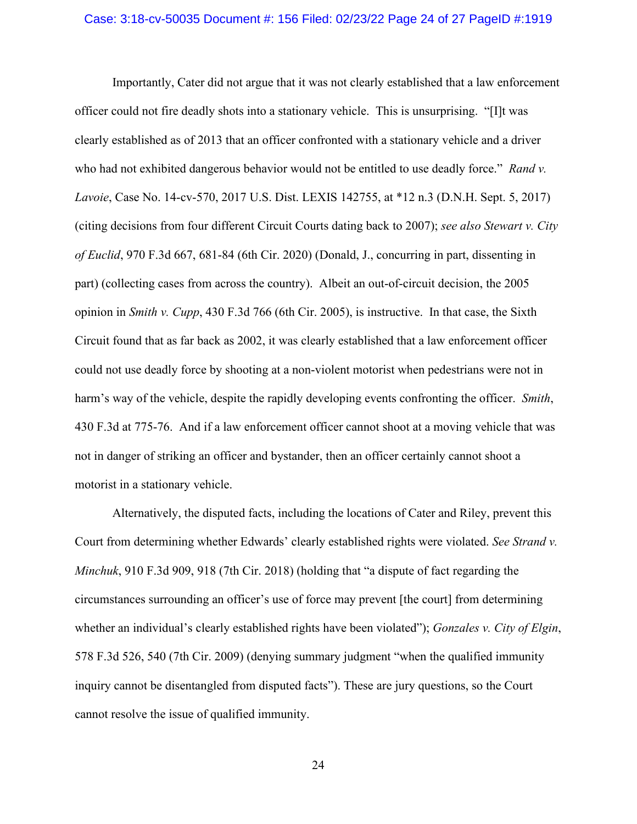#### Case: 3:18-cv-50035 Document #: 156 Filed: 02/23/22 Page 24 of 27 PageID #:1919

Importantly, Cater did not argue that it was not clearly established that a law enforcement officer could not fire deadly shots into a stationary vehicle. This is unsurprising. "[I]t was clearly established as of 2013 that an officer confronted with a stationary vehicle and a driver who had not exhibited dangerous behavior would not be entitled to use deadly force." *Rand v. Lavoie*, Case No. 14-cv-570, 2017 U.S. Dist. LEXIS 142755, at \*12 n.3 (D.N.H. Sept. 5, 2017) (citing decisions from four different Circuit Courts dating back to 2007); *see also Stewart v. City of Euclid*, 970 F.3d 667, 681-84 (6th Cir. 2020) (Donald, J., concurring in part, dissenting in part) (collecting cases from across the country). Albeit an out-of-circuit decision, the 2005 opinion in *Smith v. Cupp*, 430 F.3d 766 (6th Cir. 2005), is instructive. In that case, the Sixth Circuit found that as far back as 2002, it was clearly established that a law enforcement officer could not use deadly force by shooting at a non-violent motorist when pedestrians were not in harm's way of the vehicle, despite the rapidly developing events confronting the officer. *Smith*, 430 F.3d at 775-76. And if a law enforcement officer cannot shoot at a moving vehicle that was not in danger of striking an officer and bystander, then an officer certainly cannot shoot a motorist in a stationary vehicle.

Alternatively, the disputed facts, including the locations of Cater and Riley, prevent this Court from determining whether Edwards' clearly established rights were violated. *See Strand v. Minchuk*, 910 F.3d 909, 918 (7th Cir. 2018) (holding that "a dispute of fact regarding the circumstances surrounding an officer's use of force may prevent [the court] from determining whether an individual's clearly established rights have been violated"); *Gonzales v. City of Elgin*, 578 F.3d 526, 540 (7th Cir. 2009) (denying summary judgment "when the qualified immunity inquiry cannot be disentangled from disputed facts"). These are jury questions, so the Court cannot resolve the issue of qualified immunity.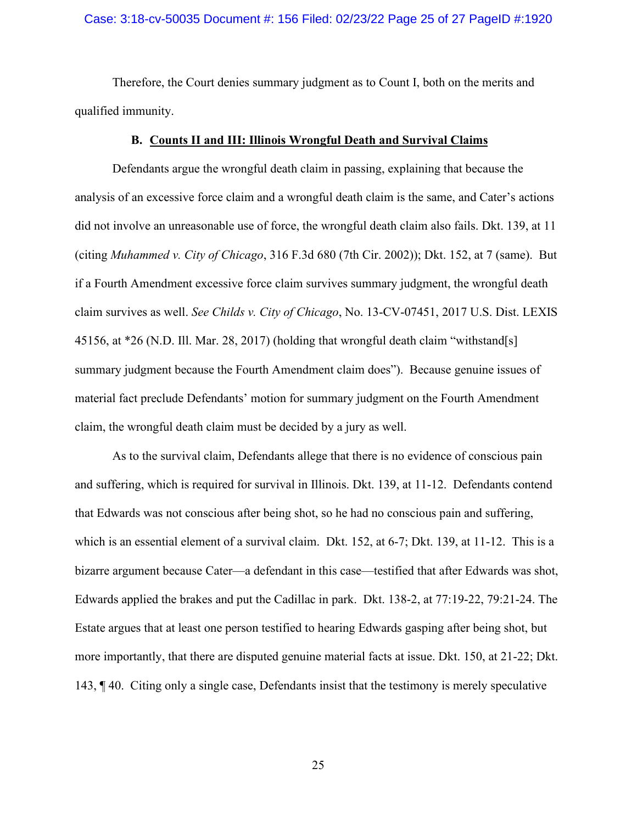### Case: 3:18-cv-50035 Document #: 156 Filed: 02/23/22 Page 25 of 27 PageID #:1920

Therefore, the Court denies summary judgment as to Count I, both on the merits and qualified immunity.

### **B. Counts II and III: Illinois Wrongful Death and Survival Claims**

Defendants argue the wrongful death claim in passing, explaining that because the analysis of an excessive force claim and a wrongful death claim is the same, and Cater's actions did not involve an unreasonable use of force, the wrongful death claim also fails. Dkt. 139, at 11 (citing *Muhammed v. City of Chicago*, 316 F.3d 680 (7th Cir. 2002)); Dkt. 152, at 7 (same). But if a Fourth Amendment excessive force claim survives summary judgment, the wrongful death claim survives as well. *See Childs v. City of Chicago*, No. 13-CV-07451, 2017 U.S. Dist. LEXIS 45156, at \*26 (N.D. Ill. Mar. 28, 2017) (holding that wrongful death claim "withstand[s] summary judgment because the Fourth Amendment claim does"). Because genuine issues of material fact preclude Defendants' motion for summary judgment on the Fourth Amendment claim, the wrongful death claim must be decided by a jury as well.

As to the survival claim, Defendants allege that there is no evidence of conscious pain and suffering, which is required for survival in Illinois. Dkt. 139, at 11-12. Defendants contend that Edwards was not conscious after being shot, so he had no conscious pain and suffering, which is an essential element of a survival claim. Dkt. 152, at 6-7; Dkt. 139, at 11-12. This is a bizarre argument because Cater—a defendant in this case—testified that after Edwards was shot, Edwards applied the brakes and put the Cadillac in park. Dkt. 138-2, at 77:19-22, 79:21-24. The Estate argues that at least one person testified to hearing Edwards gasping after being shot, but more importantly, that there are disputed genuine material facts at issue. Dkt. 150, at 21-22; Dkt. 143, ¶ 40. Citing only a single case, Defendants insist that the testimony is merely speculative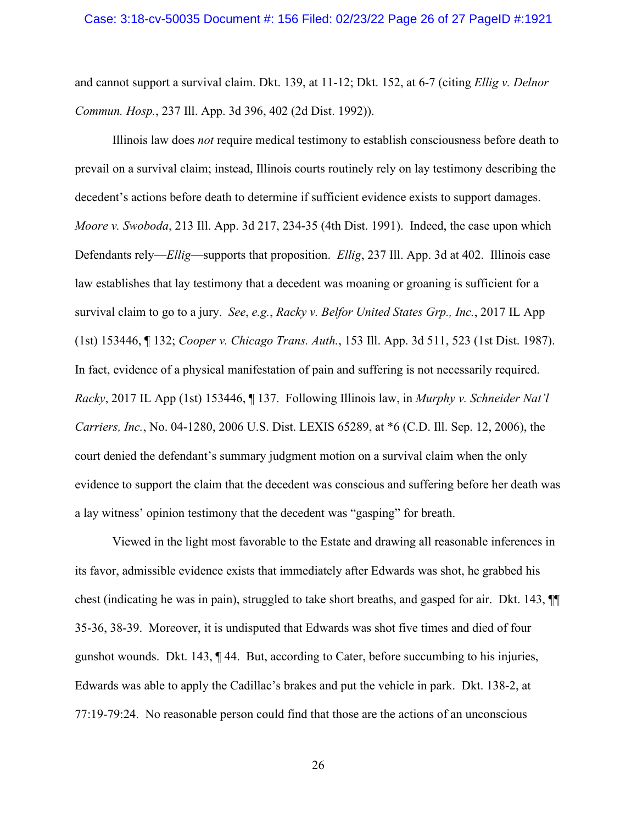and cannot support a survival claim. Dkt. 139, at 11-12; Dkt. 152, at 6-7 (citing *Ellig v. Delnor Commun. Hosp.*, 237 Ill. App. 3d 396, 402 (2d Dist. 1992)).

Illinois law does *not* require medical testimony to establish consciousness before death to prevail on a survival claim; instead, Illinois courts routinely rely on lay testimony describing the decedent's actions before death to determine if sufficient evidence exists to support damages. *Moore v. Swoboda*, 213 Ill. App. 3d 217, 234-35 (4th Dist. 1991). Indeed, the case upon which Defendants rely—*Ellig*—supports that proposition. *Ellig*, 237 Ill. App. 3d at 402. Illinois case law establishes that lay testimony that a decedent was moaning or groaning is sufficient for a survival claim to go to a jury. *See*, *e.g.*, *Racky v. Belfor United States Grp., Inc.*, 2017 IL App (1st) 153446, ¶ 132; *Cooper v. Chicago Trans. Auth.*, 153 Ill. App. 3d 511, 523 (1st Dist. 1987). In fact, evidence of a physical manifestation of pain and suffering is not necessarily required. *Racky*, 2017 IL App (1st) 153446, ¶ 137. Following Illinois law, in *Murphy v. Schneider Nat'l Carriers, Inc.*, No. 04-1280, 2006 U.S. Dist. LEXIS 65289, at \*6 (C.D. Ill. Sep. 12, 2006), the court denied the defendant's summary judgment motion on a survival claim when the only evidence to support the claim that the decedent was conscious and suffering before her death was a lay witness' opinion testimony that the decedent was "gasping" for breath.

Viewed in the light most favorable to the Estate and drawing all reasonable inferences in its favor, admissible evidence exists that immediately after Edwards was shot, he grabbed his chest (indicating he was in pain), struggled to take short breaths, and gasped for air. Dkt. 143, ¶¶ 35-36, 38-39. Moreover, it is undisputed that Edwards was shot five times and died of four gunshot wounds. Dkt. 143, ¶ 44. But, according to Cater, before succumbing to his injuries, Edwards was able to apply the Cadillac's brakes and put the vehicle in park. Dkt. 138-2, at 77:19-79:24. No reasonable person could find that those are the actions of an unconscious